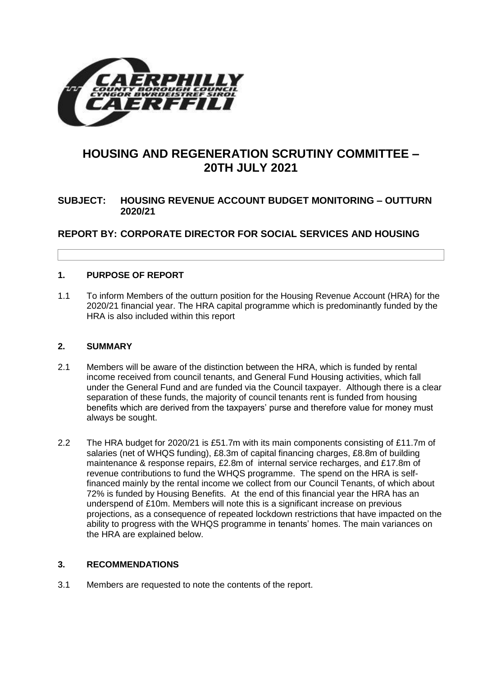

# **HOUSING AND REGENERATION SCRUTINY COMMITTEE – 20TH JULY 2021**

# **SUBJECT: HOUSING REVENUE ACCOUNT BUDGET MONITORING – OUTTURN 2020/21**

**REPORT BY: CORPORATE DIRECTOR FOR SOCIAL SERVICES AND HOUSING**

## **1. PURPOSE OF REPORT**

1.1 To inform Members of the outturn position for the Housing Revenue Account (HRA) for the 2020/21 financial year. The HRA capital programme which is predominantly funded by the HRA is also included within this report

#### **2. SUMMARY**

- 2.1 Members will be aware of the distinction between the HRA, which is funded by rental income received from council tenants, and General Fund Housing activities, which fall under the General Fund and are funded via the Council taxpayer. Although there is a clear separation of these funds, the majority of council tenants rent is funded from housing benefits which are derived from the taxpayers' purse and therefore value for money must always be sought.
- 2.2 The HRA budget for 2020/21 is £51.7m with its main components consisting of £11.7m of salaries (net of WHQS funding), £8.3m of capital financing charges, £8.8m of building maintenance & response repairs, £2.8m of internal service recharges, and £17.8m of revenue contributions to fund the WHQS programme. The spend on the HRA is selffinanced mainly by the rental income we collect from our Council Tenants, of which about 72% is funded by Housing Benefits. At the end of this financial year the HRA has an underspend of £10m. Members will note this is a significant increase on previous projections, as a consequence of repeated lockdown restrictions that have impacted on the ability to progress with the WHQS programme in tenants' homes. The main variances on the HRA are explained below.

#### **3. RECOMMENDATIONS**

3.1 Members are requested to note the contents of the report.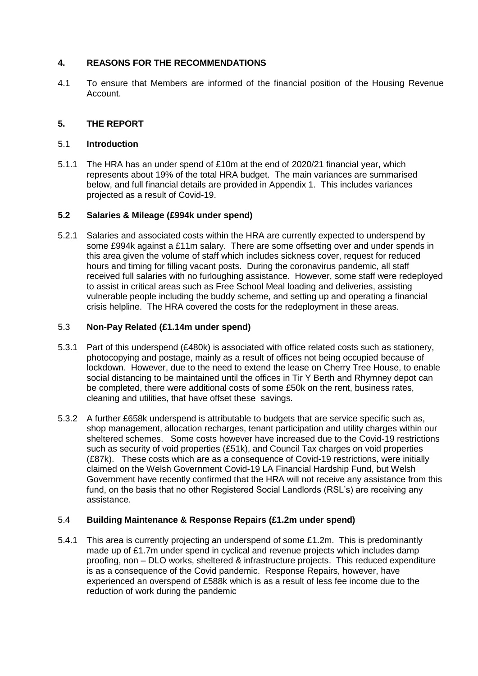## **4. REASONS FOR THE RECOMMENDATIONS**

4.1 To ensure that Members are informed of the financial position of the Housing Revenue Account.

## **5. THE REPORT**

#### 5.1 **Introduction**

5.1.1 The HRA has an under spend of £10m at the end of 2020/21 financial year, which represents about 19% of the total HRA budget. The main variances are summarised below, and full financial details are provided in Appendix 1. This includes variances projected as a result of Covid-19.

#### **5.2 Salaries & Mileage (£994k under spend)**

5.2.1 Salaries and associated costs within the HRA are currently expected to underspend by some £994k against a £11m salary. There are some offsetting over and under spends in this area given the volume of staff which includes sickness cover, request for reduced hours and timing for filling vacant posts. During the coronavirus pandemic, all staff received full salaries with no furloughing assistance. However, some staff were redeployed to assist in critical areas such as Free School Meal loading and deliveries, assisting vulnerable people including the buddy scheme, and setting up and operating a financial crisis helpline. The HRA covered the costs for the redeployment in these areas.

#### 5.3 **Non-Pay Related (£1.14m under spend)**

- 5.3.1 Part of this underspend (£480k) is associated with office related costs such as stationery, photocopying and postage, mainly as a result of offices not being occupied because of lockdown. However, due to the need to extend the lease on Cherry Tree House, to enable social distancing to be maintained until the offices in Tir Y Berth and Rhymney depot can be completed, there were additional costs of some £50k on the rent, business rates, cleaning and utilities, that have offset these savings.
- 5.3.2 A further £658k underspend is attributable to budgets that are service specific such as, shop management, allocation recharges, tenant participation and utility charges within our sheltered schemes. Some costs however have increased due to the Covid-19 restrictions such as security of void properties (£51k), and Council Tax charges on void properties (£87k). These costs which are as a consequence of Covid-19 restrictions, were initially claimed on the Welsh Government Covid-19 LA Financial Hardship Fund, but Welsh Government have recently confirmed that the HRA will not receive any assistance from this fund, on the basis that no other Registered Social Landlords (RSL's) are receiving any assistance.

#### 5.4 **Building Maintenance & Response Repairs (£1.2m under spend)**

5.4.1 This area is currently projecting an underspend of some £1.2m. This is predominantly made up of £1.7m under spend in cyclical and revenue projects which includes damp proofing, non – DLO works, sheltered & infrastructure projects. This reduced expenditure is as a consequence of the Covid pandemic. Response Repairs, however, have experienced an overspend of £588k which is as a result of less fee income due to the reduction of work during the pandemic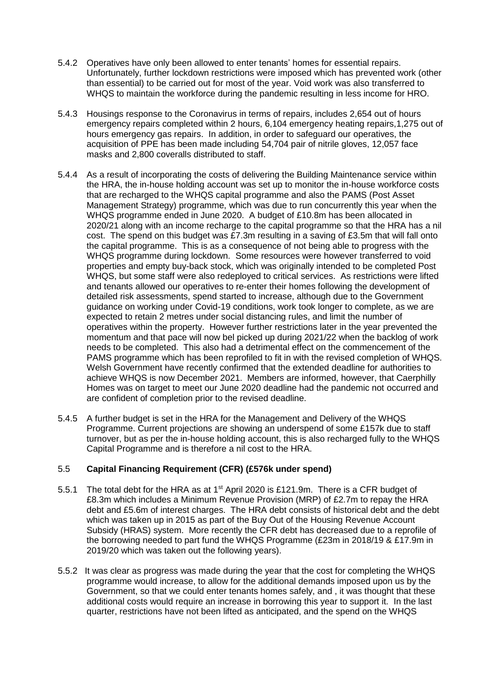- 5.4.2 Operatives have only been allowed to enter tenants' homes for essential repairs. Unfortunately, further lockdown restrictions were imposed which has prevented work (other than essential) to be carried out for most of the year. Void work was also transferred to WHQS to maintain the workforce during the pandemic resulting in less income for HRO.
- 5.4.3 Housings response to the Coronavirus in terms of repairs, includes 2,654 out of hours emergency repairs completed within 2 hours, 6,104 emergency heating repairs,1,275 out of hours emergency gas repairs. In addition, in order to safeguard our operatives, the acquisition of PPE has been made including 54,704 pair of nitrile gloves, 12,057 face masks and 2,800 coveralls distributed to staff.
- 5.4.4 As a result of incorporating the costs of delivering the Building Maintenance service within the HRA, the in-house holding account was set up to monitor the in-house workforce costs that are recharged to the WHQS capital programme and also the PAMS (Post Asset Management Strategy) programme, which was due to run concurrently this year when the WHQS programme ended in June 2020. A budget of £10.8m has been allocated in 2020/21 along with an income recharge to the capital programme so that the HRA has a nil cost. The spend on this budget was £7.3m resulting in a saving of £3.5m that will fall onto the capital programme. This is as a consequence of not being able to progress with the WHQS programme during lockdown. Some resources were however transferred to void properties and empty buy-back stock, which was originally intended to be completed Post WHQS, but some staff were also redeployed to critical services. As restrictions were lifted and tenants allowed our operatives to re-enter their homes following the development of detailed risk assessments, spend started to increase, although due to the Government guidance on working under Covid-19 conditions, work took longer to complete, as we are expected to retain 2 metres under social distancing rules, and limit the number of operatives within the property. However further restrictions later in the year prevented the momentum and that pace will now bel picked up during 2021/22 when the backlog of work needs to be completed. This also had a detrimental effect on the commencement of the PAMS programme which has been reprofiled to fit in with the revised completion of WHQS. Welsh Government have recently confirmed that the extended deadline for authorities to achieve WHQS is now December 2021. Members are informed, however, that Caerphilly Homes was on target to meet our June 2020 deadline had the pandemic not occurred and are confident of completion prior to the revised deadline.
- 5.4.5 A further budget is set in the HRA for the Management and Delivery of the WHQS Programme. Current projections are showing an underspend of some £157k due to staff turnover, but as per the in-house holding account, this is also recharged fully to the WHQS Capital Programme and is therefore a nil cost to the HRA.

#### 5.5 **Capital Financing Requirement (CFR) (£576k under spend)**

- 5.5.1 The total debt for the HRA as at 1<sup>st</sup> April 2020 is £121.9m. There is a CFR budget of £8.3m which includes a Minimum Revenue Provision (MRP) of £2.7m to repay the HRA debt and £5.6m of interest charges. The HRA debt consists of historical debt and the debt which was taken up in 2015 as part of the Buy Out of the Housing Revenue Account Subsidy (HRAS) system. More recently the CFR debt has decreased due to a reprofile of the borrowing needed to part fund the WHQS Programme (£23m in 2018/19 & £17.9m in 2019/20 which was taken out the following years).
- 5.5.2 It was clear as progress was made during the year that the cost for completing the WHQS programme would increase, to allow for the additional demands imposed upon us by the Government, so that we could enter tenants homes safely, and , it was thought that these additional costs would require an increase in borrowing this year to support it. In the last quarter, restrictions have not been lifted as anticipated, and the spend on the WHQS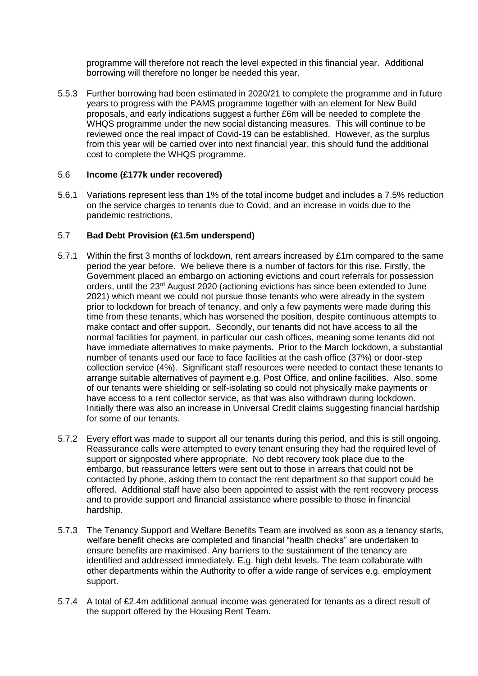programme will therefore not reach the level expected in this financial year. Additional borrowing will therefore no longer be needed this year.

5.5.3 Further borrowing had been estimated in 2020/21 to complete the programme and in future years to progress with the PAMS programme together with an element for New Build proposals, and early indications suggest a further £6m will be needed to complete the WHQS programme under the new social distancing measures. This will continue to be reviewed once the real impact of Covid-19 can be established. However, as the surplus from this year will be carried over into next financial year, this should fund the additional cost to complete the WHQS programme.

#### 5.6 **Income (£177k under recovered)**

5.6.1 Variations represent less than 1% of the total income budget and includes a 7.5% reduction on the service charges to tenants due to Covid, and an increase in voids due to the pandemic restrictions.

#### 5.7 **Bad Debt Provision (£1.5m underspend)**

- 5.7.1 Within the first 3 months of lockdown, rent arrears increased by £1m compared to the same period the year before. We believe there is a number of factors for this rise. Firstly, the Government placed an embargo on actioning evictions and court referrals for possession orders, until the 23rd August 2020 (actioning evictions has since been extended to June 2021) which meant we could not pursue those tenants who were already in the system prior to lockdown for breach of tenancy, and only a few payments were made during this time from these tenants, which has worsened the position, despite continuous attempts to make contact and offer support. Secondly, our tenants did not have access to all the normal facilities for payment, in particular our cash offices, meaning some tenants did not have immediate alternatives to make payments. Prior to the March lockdown, a substantial number of tenants used our face to face facilities at the cash office (37%) or door-step collection service (4%). Significant staff resources were needed to contact these tenants to arrange suitable alternatives of payment e.g. Post Office, and online facilities. Also, some of our tenants were shielding or self-isolating so could not physically make payments or have access to a rent collector service, as that was also withdrawn during lockdown. Initially there was also an increase in Universal Credit claims suggesting financial hardship for some of our tenants.
- 5.7.2 Every effort was made to support all our tenants during this period, and this is still ongoing. Reassurance calls were attempted to every tenant ensuring they had the required level of support or signposted where appropriate. No debt recovery took place due to the embargo, but reassurance letters were sent out to those in arrears that could not be contacted by phone, asking them to contact the rent department so that support could be offered. Additional staff have also been appointed to assist with the rent recovery process and to provide support and financial assistance where possible to those in financial hardship.
- 5.7.3 The Tenancy Support and Welfare Benefits Team are involved as soon as a tenancy starts, welfare benefit checks are completed and financial "health checks" are undertaken to ensure benefits are maximised. Any barriers to the sustainment of the tenancy are identified and addressed immediately. E.g. high debt levels. The team collaborate with other departments within the Authority to offer a wide range of services e.g. employment support.
- 5.7.4 A total of £2.4m additional annual income was generated for tenants as a direct result of the support offered by the Housing Rent Team.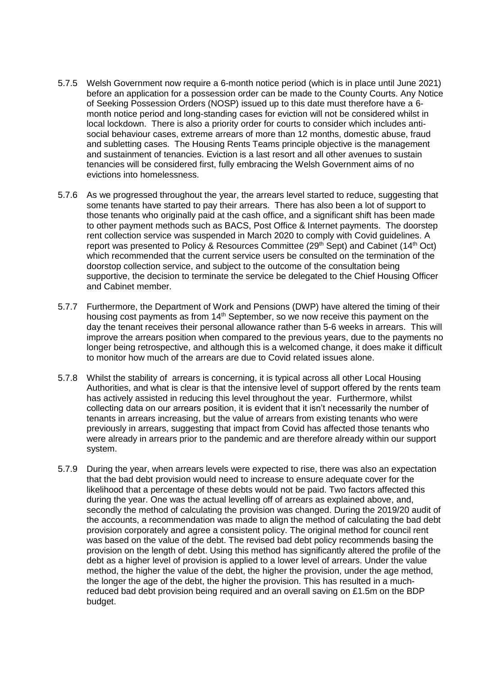- 5.7.5 Welsh Government now require a 6-month notice period (which is in place until June 2021) before an application for a possession order can be made to the County Courts. Any Notice of Seeking Possession Orders (NOSP) issued up to this date must therefore have a 6 month notice period and long-standing cases for eviction will not be considered whilst in local lockdown. There is also a priority order for courts to consider which includes antisocial behaviour cases, extreme arrears of more than 12 months, domestic abuse, fraud and subletting cases. The Housing Rents Teams principle objective is the management and sustainment of tenancies. Eviction is a last resort and all other avenues to sustain tenancies will be considered first, fully embracing the Welsh Government aims of no evictions into homelessness.
- 5.7.6 As we progressed throughout the year, the arrears level started to reduce, suggesting that some tenants have started to pay their arrears. There has also been a lot of support to those tenants who originally paid at the cash office, and a significant shift has been made to other payment methods such as BACS, Post Office & Internet payments. The doorstep rent collection service was suspended in March 2020 to comply with Covid guidelines. A report was presented to Policy & Resources Committee (29<sup>th</sup> Sept) and Cabinet (14<sup>th</sup> Oct) which recommended that the current service users be consulted on the termination of the doorstop collection service, and subject to the outcome of the consultation being supportive, the decision to terminate the service be delegated to the Chief Housing Officer and Cabinet member.
- 5.7.7 Furthermore, the Department of Work and Pensions (DWP) have altered the timing of their housing cost payments as from  $14<sup>th</sup>$  September, so we now receive this payment on the day the tenant receives their personal allowance rather than 5-6 weeks in arrears. This will improve the arrears position when compared to the previous years, due to the payments no longer being retrospective, and although this is a welcomed change, it does make it difficult to monitor how much of the arrears are due to Covid related issues alone.
- 5.7.8 Whilst the stability of arrears is concerning, it is typical across all other Local Housing Authorities, and what is clear is that the intensive level of support offered by the rents team has actively assisted in reducing this level throughout the year. Furthermore, whilst collecting data on our arrears position, it is evident that it isn't necessarily the number of tenants in arrears increasing, but the value of arrears from existing tenants who were previously in arrears, suggesting that impact from Covid has affected those tenants who were already in arrears prior to the pandemic and are therefore already within our support system.
- 5.7.9 During the year, when arrears levels were expected to rise, there was also an expectation that the bad debt provision would need to increase to ensure adequate cover for the likelihood that a percentage of these debts would not be paid. Two factors affected this during the year. One was the actual levelling off of arrears as explained above, and, secondly the method of calculating the provision was changed. During the 2019/20 audit of the accounts, a recommendation was made to align the method of calculating the bad debt provision corporately and agree a consistent policy. The original method for council rent was based on the value of the debt. The revised bad debt policy recommends basing the provision on the length of debt. Using this method has significantly altered the profile of the debt as a higher level of provision is applied to a lower level of arrears. Under the value method, the higher the value of the debt, the higher the provision, under the age method, the longer the age of the debt, the higher the provision. This has resulted in a muchreduced bad debt provision being required and an overall saving on £1.5m on the BDP budget.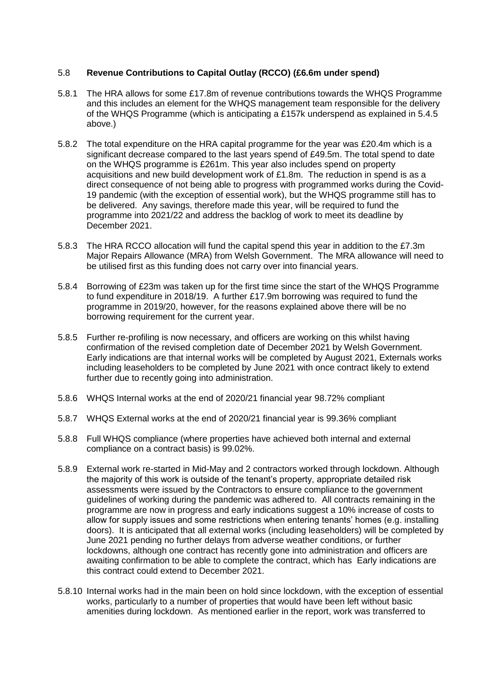### 5.8 **Revenue Contributions to Capital Outlay (RCCO) (£6.6m under spend)**

- 5.8.1 The HRA allows for some £17.8m of revenue contributions towards the WHQS Programme and this includes an element for the WHQS management team responsible for the delivery of the WHQS Programme (which is anticipating a £157k underspend as explained in 5.4.5 above.)
- 5.8.2 The total expenditure on the HRA capital programme for the year was £20.4m which is a significant decrease compared to the last years spend of £49.5m. The total spend to date on the WHQS programme is £261m. This year also includes spend on property acquisitions and new build development work of £1.8m. The reduction in spend is as a direct consequence of not being able to progress with programmed works during the Covid-19 pandemic (with the exception of essential work), but the WHQS programme still has to be delivered. Any savings, therefore made this year, will be required to fund the programme into 2021/22 and address the backlog of work to meet its deadline by December 2021.
- 5.8.3 The HRA RCCO allocation will fund the capital spend this year in addition to the £7.3m Major Repairs Allowance (MRA) from Welsh Government. The MRA allowance will need to be utilised first as this funding does not carry over into financial years.
- 5.8.4 Borrowing of £23m was taken up for the first time since the start of the WHQS Programme to fund expenditure in 2018/19. A further £17.9m borrowing was required to fund the programme in 2019/20, however, for the reasons explained above there will be no borrowing requirement for the current year.
- 5.8.5 Further re-profiling is now necessary, and officers are working on this whilst having confirmation of the revised completion date of December 2021 by Welsh Government. Early indications are that internal works will be completed by August 2021, Externals works including leaseholders to be completed by June 2021 with once contract likely to extend further due to recently going into administration.
- 5.8.6 WHQS Internal works at the end of 2020/21 financial year 98.72% compliant
- 5.8.7 WHQS External works at the end of 2020/21 financial year is 99.36% compliant
- 5.8.8 Full WHQS compliance (where properties have achieved both internal and external compliance on a contract basis) is 99.02%.
- 5.8.9 External work re-started in Mid-May and 2 contractors worked through lockdown. Although the majority of this work is outside of the tenant's property, appropriate detailed risk assessments were issued by the Contractors to ensure compliance to the government guidelines of working during the pandemic was adhered to. All contracts remaining in the programme are now in progress and early indications suggest a 10% increase of costs to allow for supply issues and some restrictions when entering tenants' homes (e.g. installing doors). It is anticipated that all external works (including leaseholders) will be completed by June 2021 pending no further delays from adverse weather conditions, or further lockdowns, although one contract has recently gone into administration and officers are awaiting confirmation to be able to complete the contract, which has Early indications are this contract could extend to December 2021.
- 5.8.10 Internal works had in the main been on hold since lockdown, with the exception of essential works, particularly to a number of properties that would have been left without basic amenities during lockdown. As mentioned earlier in the report, work was transferred to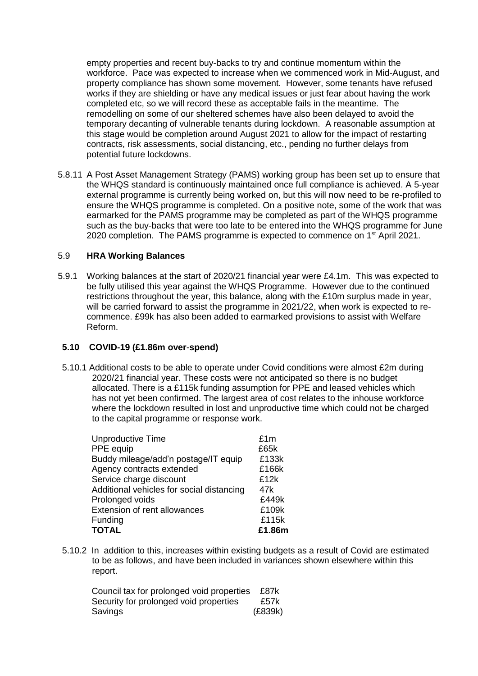empty properties and recent buy-backs to try and continue momentum within the workforce. Pace was expected to increase when we commenced work in Mid-August, and property compliance has shown some movement. However, some tenants have refused works if they are shielding or have any medical issues or just fear about having the work completed etc, so we will record these as acceptable fails in the meantime. The remodelling on some of our sheltered schemes have also been delayed to avoid the temporary decanting of vulnerable tenants during lockdown. A reasonable assumption at this stage would be completion around August 2021 to allow for the impact of restarting contracts, risk assessments, social distancing, etc., pending no further delays from potential future lockdowns.

5.8.11 A Post Asset Management Strategy (PAMS) working group has been set up to ensure that the WHQS standard is continuously maintained once full compliance is achieved. A 5-year external programme is currently being worked on, but this will now need to be re-profiled to ensure the WHQS programme is completed. On a positive note, some of the work that was earmarked for the PAMS programme may be completed as part of the WHQS programme such as the buy-backs that were too late to be entered into the WHQS programme for June 2020 completion. The PAMS programme is expected to commence on 1<sup>st</sup> April 2021.

#### 5.9 **HRA Working Balances**

5.9.1 Working balances at the start of 2020/21 financial year were £4.1m. This was expected to be fully utilised this year against the WHQS Programme. However due to the continued restrictions throughout the year, this balance, along with the £10m surplus made in year, will be carried forward to assist the programme in 2021/22, when work is expected to recommence. £99k has also been added to earmarked provisions to assist with Welfare Reform.

#### **5.10 COVID-19 (£1.86m over**-**spend)**

5.10.1 Additional costs to be able to operate under Covid conditions were almost £2m during 2020/21 financial year. These costs were not anticipated so there is no budget allocated. There is a £115k funding assumption for PPE and leased vehicles which has not yet been confirmed. The largest area of cost relates to the inhouse workforce where the lockdown resulted in lost and unproductive time which could not be charged to the capital programme or response work.

| <b>Unproductive Time</b>                  | £1m    |
|-------------------------------------------|--------|
| PPE equip                                 | £65k   |
| Buddy mileage/add'n postage/IT equip      | £133k  |
| Agency contracts extended                 | £166k  |
| Service charge discount                   | £12k   |
| Additional vehicles for social distancing | 47k    |
| Prolonged voids                           | £449k  |
| <b>Extension of rent allowances</b>       | £109k  |
| Funding                                   | £115k  |
| <b>TOTAL</b>                              | £1.86m |

5.10.2 In addition to this, increases within existing budgets as a result of Covid are estimated to be as follows, and have been included in variances shown elsewhere within this report.

| Council tax for prolonged void properties | £87k    |
|-------------------------------------------|---------|
| Security for prolonged void properties    | £57k    |
| Savings                                   | (E839k) |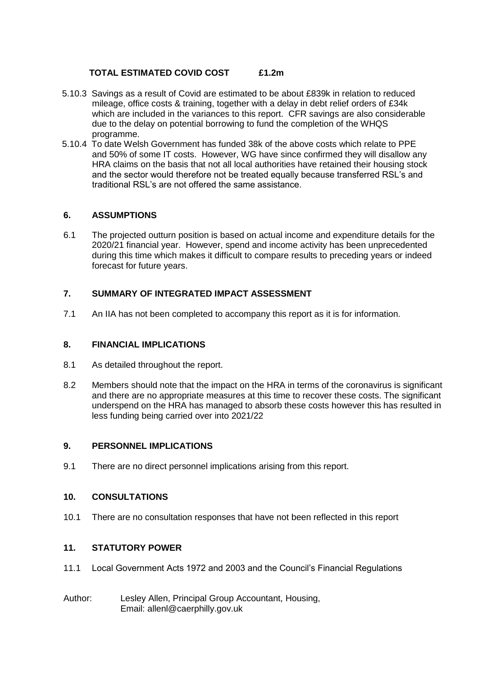## **TOTAL ESTIMATED COVID COST £1.2m**

- 5.10.3 Savings as a result of Covid are estimated to be about £839k in relation to reduced mileage, office costs & training, together with a delay in debt relief orders of £34k which are included in the variances to this report. CFR savings are also considerable due to the delay on potential borrowing to fund the completion of the WHQS programme.
- 5.10.4 To date Welsh Government has funded 38k of the above costs which relate to PPE and 50% of some IT costs. However, WG have since confirmed they will disallow any HRA claims on the basis that not all local authorities have retained their housing stock and the sector would therefore not be treated equally because transferred RSL's and traditional RSL's are not offered the same assistance.

## **6. ASSUMPTIONS**

6.1 The projected outturn position is based on actual income and expenditure details for the 2020/21 financial year. However, spend and income activity has been unprecedented during this time which makes it difficult to compare results to preceding years or indeed forecast for future years.

## **7. SUMMARY OF INTEGRATED IMPACT ASSESSMENT**

7.1 An IIA has not been completed to accompany this report as it is for information.

### **8. FINANCIAL IMPLICATIONS**

- 8.1 As detailed throughout the report.
- 8.2 Members should note that the impact on the HRA in terms of the coronavirus is significant and there are no appropriate measures at this time to recover these costs. The significant underspend on the HRA has managed to absorb these costs however this has resulted in less funding being carried over into 2021/22

#### **9. PERSONNEL IMPLICATIONS**

9.1 There are no direct personnel implications arising from this report.

## **10. CONSULTATIONS**

10.1 There are no consultation responses that have not been reflected in this report

#### **11. STATUTORY POWER**

- 11.1 Local Government Acts 1972 and 2003 and the Council's Financial Regulations
- Author: Lesley Allen, Principal Group Accountant, Housing, Email: allenl@caerphilly.gov.uk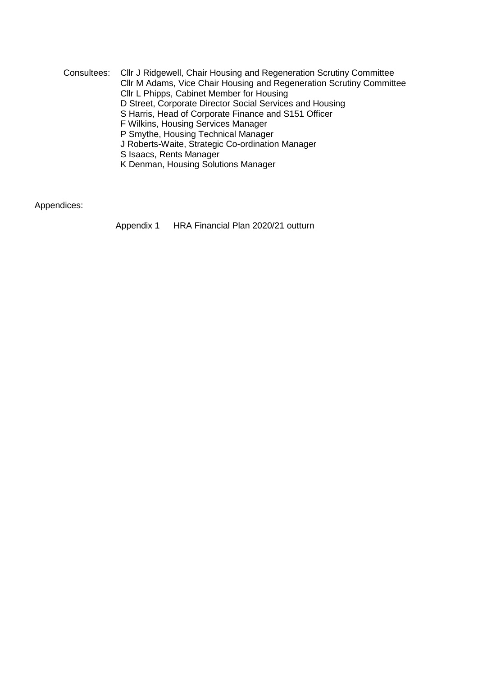Consultees: Cllr J Ridgewell, Chair Housing and Regeneration Scrutiny Committee Cllr M Adams, Vice Chair Housing and Regeneration Scrutiny Committee Cllr L Phipps, Cabinet Member for Housing D Street, Corporate Director Social Services and Housing S Harris, Head of Corporate Finance and S151 Officer F Wilkins, Housing Services Manager P Smythe, Housing Technical Manager J Roberts-Waite, Strategic Co-ordination Manager S Isaacs, Rents Manager K Denman, Housing Solutions Manager

Appendices:

Appendix 1 HRA Financial Plan 2020/21 outturn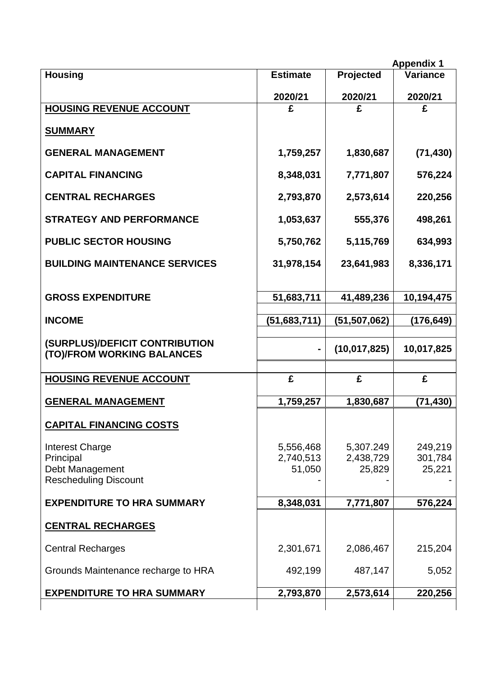|                                                                                        |                                  |                                  | <b>Appendix 1</b>            |
|----------------------------------------------------------------------------------------|----------------------------------|----------------------------------|------------------------------|
| <b>Housing</b>                                                                         | <b>Estimate</b>                  | Projected                        | Variance                     |
|                                                                                        | 2020/21                          | 2020/21                          | 2020/21                      |
| <b>HOUSING REVENUE ACCOUNT</b>                                                         | £                                | £                                | £                            |
| <b>SUMMARY</b>                                                                         |                                  |                                  |                              |
| <b>GENERAL MANAGEMENT</b>                                                              | 1,759,257                        | 1,830,687                        | (71, 430)                    |
| <b>CAPITAL FINANCING</b>                                                               | 8,348,031                        | 7,771,807                        | 576,224                      |
| <b>CENTRAL RECHARGES</b>                                                               | 2,793,870                        | 2,573,614                        | 220,256                      |
| <b>STRATEGY AND PERFORMANCE</b>                                                        | 1,053,637                        | 555,376                          | 498,261                      |
| <b>PUBLIC SECTOR HOUSING</b>                                                           | 5,750,762                        | 5,115,769                        | 634,993                      |
| <b>BUILDING MAINTENANCE SERVICES</b>                                                   | 31,978,154                       | 23,641,983                       | 8,336,171                    |
| <b>GROSS EXPENDITURE</b>                                                               | 51,683,711                       | 41,489,236                       | 10,194,475                   |
| <b>INCOME</b>                                                                          | (51,683,711)                     | (51, 507, 062)                   | (176,649)                    |
| (SURPLUS)/DEFICIT CONTRIBUTION<br>(TO)/FROM WORKING BALANCES                           |                                  | (10, 017, 825)                   | 10,017,825                   |
| <b>HOUSING REVENUE ACCOUNT</b>                                                         | £                                | £                                | £                            |
| <b>GENERAL MANAGEMENT</b>                                                              | 1,759,257                        | 1,830,687                        | (71, 430)                    |
| <b>CAPITAL FINANCING COSTS</b>                                                         |                                  |                                  |                              |
| <b>Interest Charge</b><br>Principal<br>Debt Management<br><b>Rescheduling Discount</b> | 5,556,468<br>2,740,513<br>51,050 | 5,307.249<br>2,438,729<br>25,829 | 249,219<br>301,784<br>25,221 |
| <b>EXPENDITURE TO HRA SUMMARY</b>                                                      | 8,348,031                        | 7,771,807                        | 576,224                      |
| <b>CENTRAL RECHARGES</b>                                                               |                                  |                                  |                              |
| <b>Central Recharges</b>                                                               | 2,301,671                        | 2,086,467                        | 215,204                      |
| Grounds Maintenance recharge to HRA                                                    | 492,199                          | 487,147                          | 5,052                        |
|                                                                                        |                                  |                                  |                              |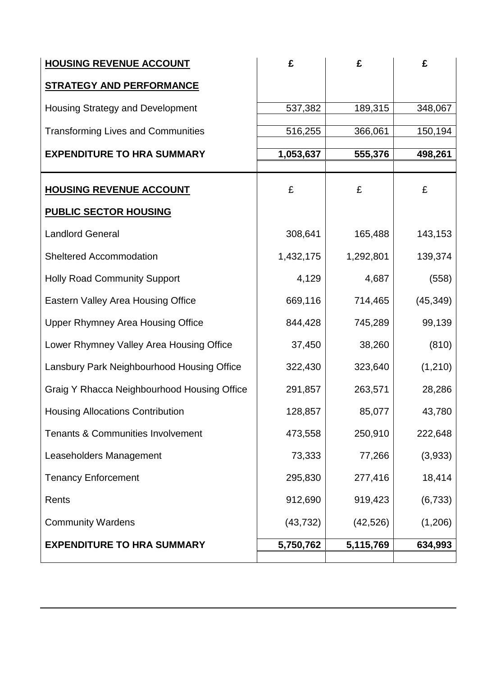| <b>HOUSING REVENUE ACCOUNT</b>               | £         | £         | £         |
|----------------------------------------------|-----------|-----------|-----------|
| <b>STRATEGY AND PERFORMANCE</b>              |           |           |           |
| Housing Strategy and Development             | 537,382   | 189,315   | 348,067   |
| <b>Transforming Lives and Communities</b>    | 516,255   | 366,061   | 150,194   |
| <b>EXPENDITURE TO HRA SUMMARY</b>            | 1,053,637 | 555,376   | 498,261   |
|                                              |           |           |           |
| <b>HOUSING REVENUE ACCOUNT</b>               | £         | £         | £         |
| <b>PUBLIC SECTOR HOUSING</b>                 |           |           |           |
| <b>Landlord General</b>                      | 308,641   | 165,488   | 143,153   |
| <b>Sheltered Accommodation</b>               | 1,432,175 | 1,292,801 | 139,374   |
| <b>Holly Road Community Support</b>          | 4,129     | 4,687     | (558)     |
| Eastern Valley Area Housing Office           | 669,116   | 714,465   | (45, 349) |
| <b>Upper Rhymney Area Housing Office</b>     | 844,428   | 745,289   | 99,139    |
| Lower Rhymney Valley Area Housing Office     | 37,450    | 38,260    | (810)     |
| Lansbury Park Neighbourhood Housing Office   | 322,430   | 323,640   | (1, 210)  |
| Graig Y Rhacca Neighbourhood Housing Office  | 291,857   | 263,571   | 28,286    |
| <b>Housing Allocations Contribution</b>      | 128,857   | 85,077    | 43,780    |
| <b>Tenants &amp; Communities Involvement</b> | 473,558   | 250,910   | 222,648   |
| Leaseholders Management                      | 73,333    | 77,266    | (3,933)   |
| <b>Tenancy Enforcement</b>                   | 295,830   | 277,416   | 18,414    |
| Rents                                        | 912,690   | 919,423   | (6, 733)  |
| <b>Community Wardens</b>                     | (43, 732) | (42, 526) | (1,206)   |
| <b>EXPENDITURE TO HRA SUMMARY</b>            | 5,750,762 | 5,115,769 | 634,993   |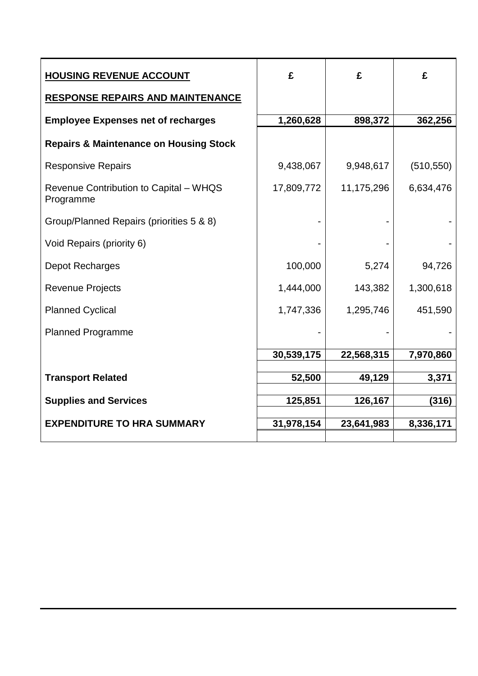| <b>HOUSING REVENUE ACCOUNT</b>                      | £          | £          | £          |
|-----------------------------------------------------|------------|------------|------------|
| <b>RESPONSE REPAIRS AND MAINTENANCE</b>             |            |            |            |
| <b>Employee Expenses net of recharges</b>           | 1,260,628  | 898,372    | 362,256    |
| <b>Repairs &amp; Maintenance on Housing Stock</b>   |            |            |            |
| <b>Responsive Repairs</b>                           | 9,438,067  | 9,948,617  | (510, 550) |
| Revenue Contribution to Capital - WHQS<br>Programme | 17,809,772 | 11,175,296 | 6,634,476  |
| Group/Planned Repairs (priorities 5 & 8)            |            |            |            |
| Void Repairs (priority 6)                           |            |            |            |
| Depot Recharges                                     | 100,000    | 5,274      | 94,726     |
| <b>Revenue Projects</b>                             | 1,444,000  | 143,382    | 1,300,618  |
| <b>Planned Cyclical</b>                             | 1,747,336  | 1,295,746  | 451,590    |
| <b>Planned Programme</b>                            |            |            |            |
|                                                     | 30,539,175 | 22,568,315 | 7,970,860  |
| <b>Transport Related</b>                            | 52,500     | 49,129     | 3,371      |
|                                                     |            |            |            |
| <b>Supplies and Services</b>                        | 125,851    | 126,167    | (316)      |
|                                                     |            |            |            |
|                                                     |            |            |            |
| <b>EXPENDITURE TO HRA SUMMARY</b>                   | 31,978,154 | 23,641,983 | 8,336,171  |